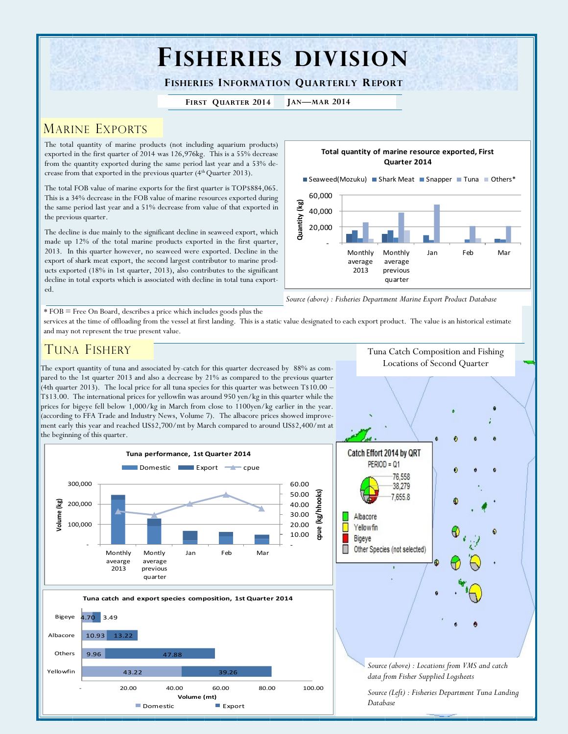# **FISHERIES DIVISION**

**FISHERIES INFORMATION QUARTERLY REPORT**

**FIRST QUARTER 2014 JAN—MAR 2014**

## MARINE EXPORTS

The total quantity of marine products (not including aquarium products) exported in the first quarter of 2014 was 126,976kg. This is a 55% decrease from the quantity exported during the same period last year and a 53% decrease from that exported in the previous quarter (4<sup>th</sup> Quarter 2013).

The total FOB value of marine exports for the first quarter is TOP\$884,065. This is a 34% decrease in the FOB value of marine resources exported during the same period last year and a 51% decrease from value of that exported in the previous quarter.

The decline is due mainly to the significant decline in seaweed export, which made up 12% of the total marine products exported in the first quarter, 2013. In this quarter however, no seaweed were exported. Decline in the export of shark meat export, the second largest contributor to marine products exported (18% in 1st quarter, 2013), also contributes to the significant decline in total exports which is associated with decline in total tuna exported.



*Source (above) : Fisheries Department Marine Export Product Database*

\* FOB = Free On Board, describes a price which includes goods plus the

services at the time of offloading from the vessel at first landing. This is a static value designated to each export product. The value is an historical estimate and may not represent the true present value.

# TUNA FISHERY

The export quantity of tuna and associated by-catch for this quarter decreased by 88% as compared to the 1st quarter 2013 and also a decrease by 21% as compared to the previous quarter (4th quarter 2013). The local price for all tuna species for this quarter was between T\$10.00 – T\$13.00. The international prices for yellowfin was around 950 yen/kg in this quarter while the prices for bigeye fell below 1,000/kg in March from close to 1100yen/kg earlier in the year. (according to FFA Trade and Industry News, Volume 7). The albacore prices showed improvement early this year and reached US\$2,700/mt by March compared to around US\$2,400/mt at the beginning of this quarter.



**Volume (mt)**

■ Domestic ■ Export

Tuna Catch Composition and Fishing Locations of Second Quarter



*Database*